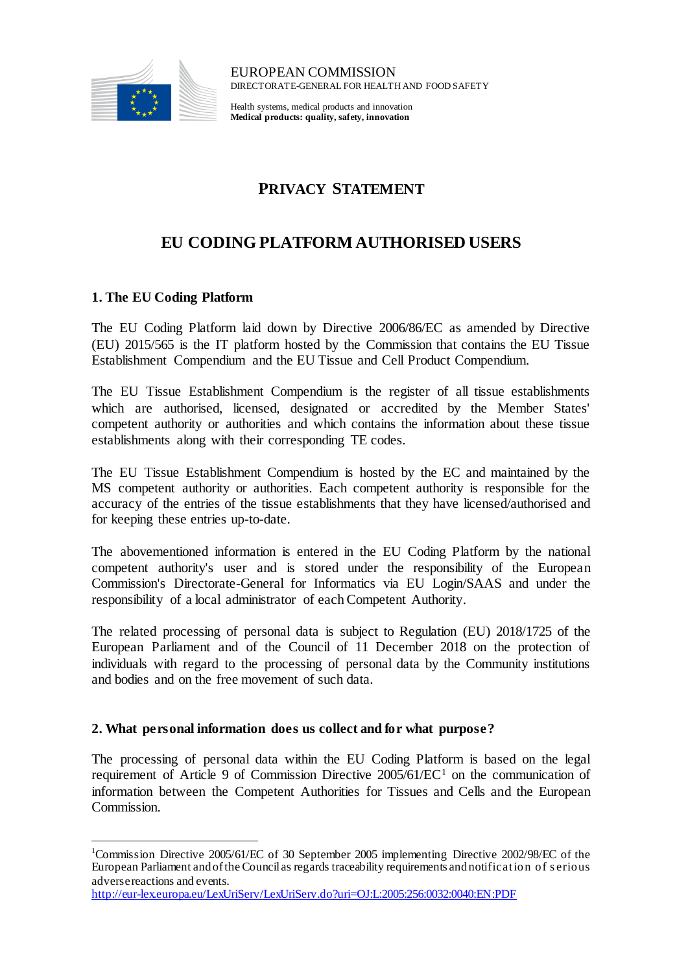

EUROPEAN COMMISSION DIRECTORATE-GENERAL FOR HEALTH AND FOOD SAFETY

Health systems, medical products and innovation **Medical products: quality, safety, innovation**

## **PRIVACY STATEMENT**

# **EU CODING PLATFORM AUTHORISED USERS**

## **1. The EU Coding Platform**

l

The EU Coding Platform laid down by Directive 2006/86/EC as amended by Directive (EU) 2015/565 is the IT platform hosted by the Commission that contains the EU Tissue Establishment Compendium and the EU Tissue and Cell Product Compendium.

The EU Tissue Establishment Compendium is the register of all tissue establishments which are authorised, licensed, designated or accredited by the Member States' competent authority or authorities and which contains the information about these tissue establishments along with their corresponding TE codes.

The EU Tissue Establishment Compendium is hosted by the EC and maintained by the MS competent authority or authorities. Each competent authority is responsible for the accuracy of the entries of the tissue establishments that they have licensed/authorised and for keeping these entries up-to-date.

The abovementioned information is entered in the EU Coding Platform by the national competent authority's user and is stored under the responsibility of the European Commission's Directorate-General for Informatics via EU Login/SAAS and under the responsibility of a local administrator of each Competent Authority.

The related processing of personal data is subject to Regulation (EU) 2018/1725 of the European Parliament and of the Council of 11 December 2018 on the protection of individuals with regard to the processing of personal data by the Community institutions and bodies and on the free movement of such data.

## **2. What personal information does us collect and for what purpose?**

The processing of personal data within the EU Coding Platform is based on the legal requirement of Article 9 of Commission Directive 2005/61/EC<sup>1</sup> on the communication of information between the Competent Authorities for Tissues and Cells and the European Commission.

<sup>1</sup>Commission Directive 2005/61/EC of 30 September 2005 implementing Directive 2002/98/EC of the European Parliament and of the Council as regards traceability requirements and notification of s erious adverse reactions and events.

<http://eur-lex.europa.eu/LexUriServ/LexUriServ.do?uri=OJ:L:2005:256:0032:0040:EN:PDF>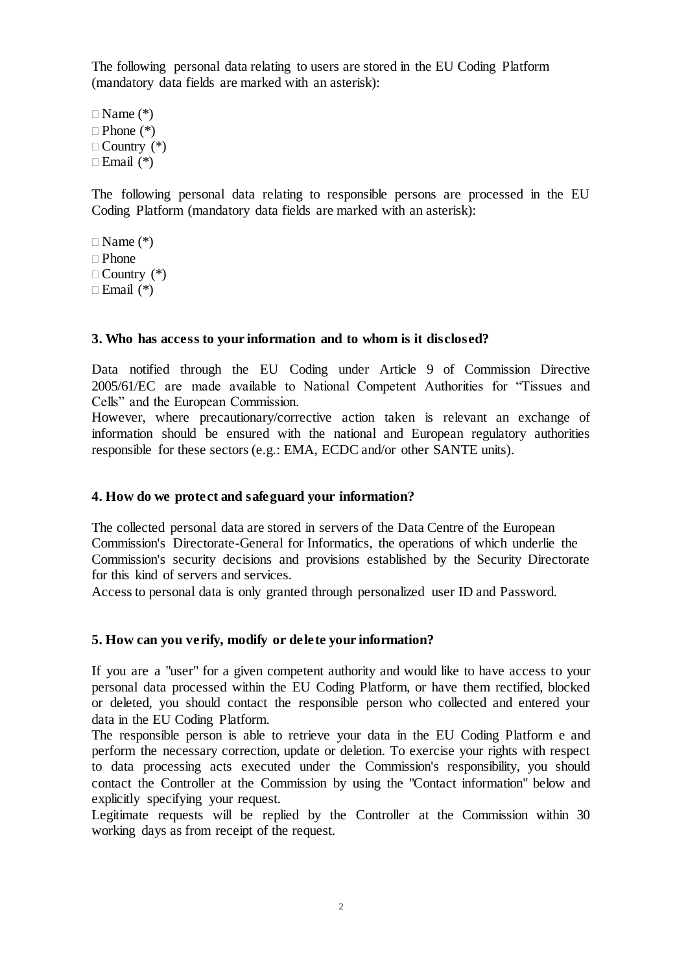The following personal data relating to users are stored in the EU Coding Platform (mandatory data fields are marked with an asterisk):

 $\Box$  Name  $(*)$  $\Box$  Phone  $(*)$  $\Box$  Country  $(*)$  $\Box$  Email  $(*)$ 

The following personal data relating to responsible persons are processed in the EU Coding Platform (mandatory data fields are marked with an asterisk):

 $\Box$  Name  $(*)$  $\Box$  Phone  $\Box$  Country  $(*)$  $\Box$  Email  $(*)$ 

#### **3. Who has access to your information and to whom is it disclosed?**

Data notified through the EU Coding under Article 9 of Commission Directive 2005/61/EC are made available to National Competent Authorities for "Tissues and Cells" and the European Commission.

However, where precautionary/corrective action taken is relevant an exchange of information should be ensured with the national and European regulatory authorities responsible for these sectors (e.g.: EMA, ECDC and/or other SANTE units).

#### **4. How do we protect and safeguard your information?**

The collected personal data are stored in servers of the Data Centre of the European Commission's Directorate-General for Informatics, the operations of which underlie the Commission's security decisions and provisions established by the Security Directorate for this kind of servers and services.

Access to personal data is only granted through personalized user ID and Password.

#### **5. How can you verify, modify or delete your information?**

If you are a "user" for a given competent authority and would like to have access to your personal data processed within the EU Coding Platform, or have them rectified, blocked or deleted, you should contact the responsible person who collected and entered your data in the EU Coding Platform.

The responsible person is able to retrieve your data in the EU Coding Platform e and perform the necessary correction, update or deletion. To exercise your rights with respect to data processing acts executed under the Commission's responsibility, you should contact the Controller at the Commission by using the "Contact information" below and explicitly specifying your request.

Legitimate requests will be replied by the Controller at the Commission within 30 working days as from receipt of the request.